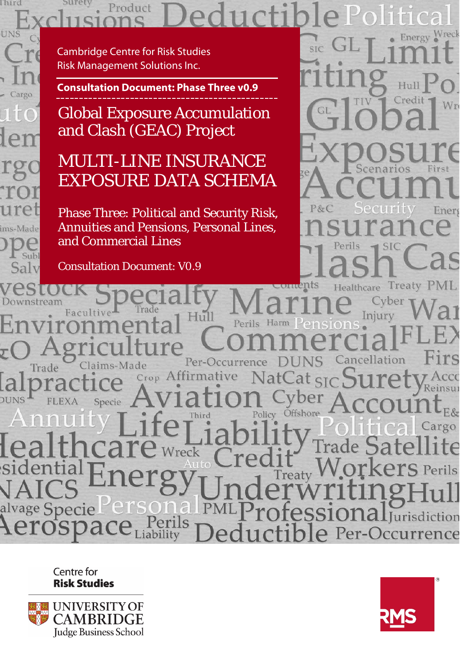# Surety Product

Cambridge Centre for Risk Studies Risk Management Solutions Inc.

l hird

**UNS** 

Cargo

ims-Made

Subl Salv

 $\sqrt{2}$ Г

**Consultation Document: Phase Three v0.9**

Global Exposure Accumulation and Clash (GEAC) Project

# MULTI-LINE INSURANCE EXPOSURE DATA SCHEMA

Phase Three: Political and Security Risk, Annuities and Pensions, Personal Lines, and Commercial Lines

Consultation Document: V0.9

Wreck Energy SIC Wr First P&C Energ SI

Treaty Facultiv Injury  $-11$ ancellation Per-Occurrence aims-Made Trade Crop Affirmative Reinsu **DUNS** Specie  $E.8<sub>T</sub>$ Offshore Policy argo Wreck Treaty age Specie al **al**Jurisdiction Perils Per-Occurrence

> Centre for **Risk Studies**



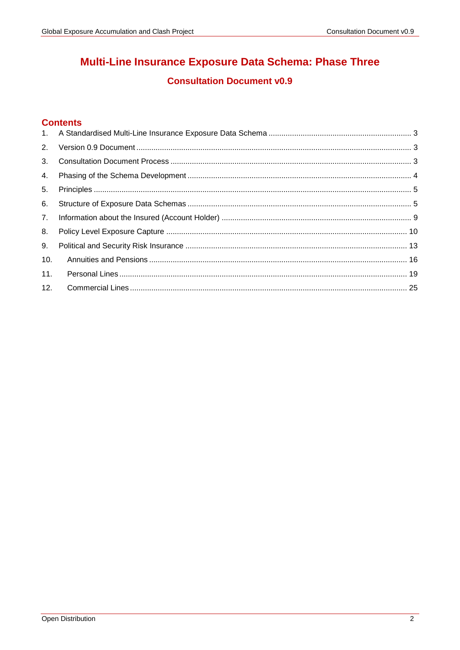# Multi-Line Insurance Exposure Data Schema: Phase Three

# **Consultation Document v0.9**

# **Contents**

| 2.  |  |
|-----|--|
| 3.  |  |
| 4.  |  |
| 5.  |  |
| 6.  |  |
|     |  |
| 8.  |  |
| 9.  |  |
| 10. |  |
| 11. |  |
| 12. |  |
|     |  |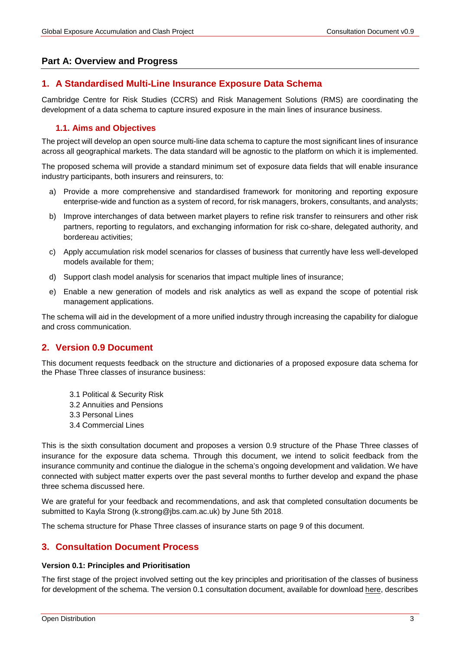### **Part A: Overview and Progress**

# <span id="page-2-0"></span>**1. A Standardised Multi-Line Insurance Exposure Data Schema**

Cambridge Centre for Risk Studies (CCRS) and Risk Management Solutions (RMS) are coordinating the development of a data schema to capture insured exposure in the main lines of insurance business.

### **1.1. Aims and Objectives**

The project will develop an open source multi-line data schema to capture the most significant lines of insurance across all geographical markets. The data standard will be agnostic to the platform on which it is implemented.

The proposed schema will provide a standard minimum set of exposure data fields that will enable insurance industry participants, both insurers and reinsurers, to:

- a) Provide a more comprehensive and standardised framework for monitoring and reporting exposure enterprise-wide and function as a system of record, for risk managers, brokers, consultants, and analysts;
- b) Improve interchanges of data between market players to refine risk transfer to reinsurers and other risk partners, reporting to regulators, and exchanging information for risk co-share, delegated authority, and bordereau activities;
- c) Apply accumulation risk model scenarios for classes of business that currently have less well-developed models available for them;
- d) Support clash model analysis for scenarios that impact multiple lines of insurance;
- e) Enable a new generation of models and risk analytics as well as expand the scope of potential risk management applications.

The schema will aid in the development of a more unified industry through increasing the capability for dialogue and cross communication.

# <span id="page-2-1"></span>**2. Version 0.9 Document**

This document requests feedback on the structure and dictionaries of a proposed exposure data schema for the Phase Three classes of insurance business:

- 3.1 Political & Security Risk
- 3.2 Annuities and Pensions
- 3.3 Personal Lines
- 3.4 Commercial Lines

This is the sixth consultation document and proposes a version 0.9 structure of the Phase Three classes of insurance for the exposure data schema. Through this document, we intend to solicit feedback from the insurance community and continue the dialogue in the schema's ongoing development and validation. We have connected with subject matter experts over the past several months to further develop and expand the phase three schema discussed here.

We are grateful for your feedback and recommendations, and ask that completed consultation documents be submitted to Kayla Strong (k.strong@jbs.cam.ac.uk) by June 5th 2018.

The schema structure for Phase Three classes of insurance starts on page [9](#page-8-1) of this document.

# <span id="page-2-2"></span>**3. Consultation Document Process**

#### **Version 0.1: Principles and Prioritisation**

The first stage of the project involved setting out the key principles and prioritisation of the classes of business for development of the schema. The version 0.1 consultation document, available for download [here,](http://cambridgeriskframework.com/getdocument/69) describes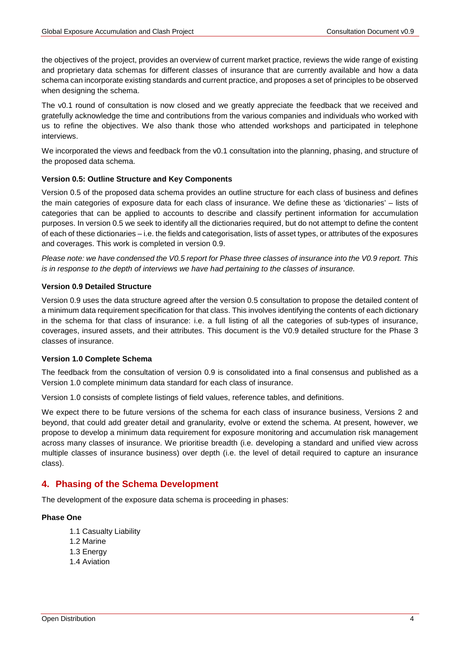the objectives of the project, provides an overview of current market practice, reviews the wide range of existing and proprietary data schemas for different classes of insurance that are currently available and how a data schema can incorporate existing standards and current practice, and proposes a set of principles to be observed when designing the schema.

The v0.1 round of consultation is now closed and we greatly appreciate the feedback that we received and gratefully acknowledge the time and contributions from the various companies and individuals who worked with us to refine the objectives. We also thank those who attended workshops and participated in telephone interviews.

We incorporated the views and feedback from the v0.1 consultation into the planning, phasing, and structure of the proposed data schema.

#### **Version 0.5: Outline Structure and Key Components**

Version 0.5 of the proposed data schema provides an outline structure for each class of business and defines the main categories of exposure data for each class of insurance. We define these as 'dictionaries' – lists of categories that can be applied to accounts to describe and classify pertinent information for accumulation purposes. In version 0.5 we seek to identify all the dictionaries required, but do not attempt to define the content of each of these dictionaries – i.e. the fields and categorisation, lists of asset types, or attributes of the exposures and coverages. This work is completed in version 0.9.

*Please note: we have condensed the V0.5 report for Phase three classes of insurance into the V0.9 report. This is in response to the depth of interviews we have had pertaining to the classes of insurance.* 

#### **Version 0.9 Detailed Structure**

Version 0.9 uses the data structure agreed after the version 0.5 consultation to propose the detailed content of a minimum data requirement specification for that class. This involves identifying the contents of each dictionary in the schema for that class of insurance: i.e. a full listing of all the categories of sub-types of insurance, coverages, insured assets, and their attributes. This document is the V0.9 detailed structure for the Phase 3 classes of insurance.

#### **Version 1.0 Complete Schema**

The feedback from the consultation of version 0.9 is consolidated into a final consensus and published as a Version 1.0 complete minimum data standard for each class of insurance.

Version 1.0 consists of complete listings of field values, reference tables, and definitions.

We expect there to be future versions of the schema for each class of insurance business, Versions 2 and beyond, that could add greater detail and granularity, evolve or extend the schema. At present, however, we propose to develop a minimum data requirement for exposure monitoring and accumulation risk management across many classes of insurance. We prioritise breadth (i.e. developing a standard and unified view across multiple classes of insurance business) over depth (i.e. the level of detail required to capture an insurance class).

### <span id="page-3-0"></span>**4. Phasing of the Schema Development**

The development of the exposure data schema is proceeding in phases:

#### **Phase One**

- 1.1 Casualty Liability
- 1.2 Marine
- 1.3 Energy
- 1.4 Aviation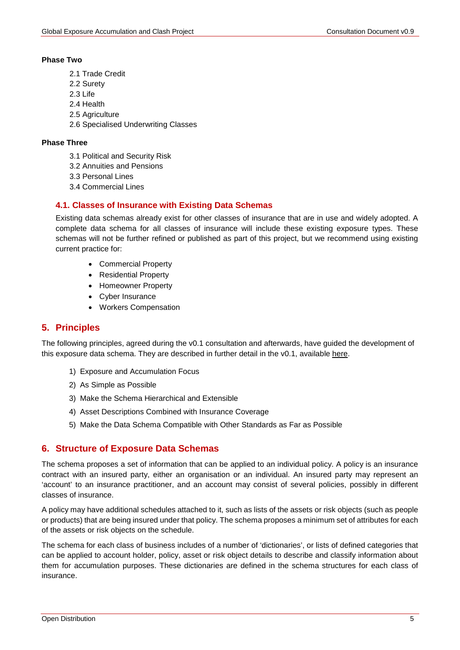#### **Phase Two**

- 2.1 Trade Credit
- 2.2 Surety
- 2.3 Life
- 2.4 Health
- 2.5 Agriculture
- 2.6 Specialised Underwriting Classes

#### **Phase Three**

- 3.1 Political and Security Risk
- 3.2 Annuities and Pensions
- 3.3 Personal Lines
- 3.4 Commercial Lines

### **4.1. Classes of Insurance with Existing Data Schemas**

Existing data schemas already exist for other classes of insurance that are in use and widely adopted. A complete data schema for all classes of insurance will include these existing exposure types. These schemas will not be further refined or published as part of this project, but we recommend using existing current practice for:

- Commercial Property
- Residential Property
- Homeowner Property
- Cyber Insurance
- Workers Compensation

# <span id="page-4-0"></span>**5. Principles**

The following principles, agreed during the v0.1 consultation and afterwards, have guided the development of this exposure data schema. They are described in further detail in the v0.1, available here.

- 1) Exposure and Accumulation Focus
- 2) As Simple as Possible
- 3) Make the Schema Hierarchical and Extensible
- 4) Asset Descriptions Combined with Insurance Coverage
- 5) Make the Data Schema Compatible with Other Standards as Far as Possible

# <span id="page-4-1"></span>**6. Structure of Exposure Data Schemas**

The schema proposes a set of information that can be applied to an individual policy. A policy is an insurance contract with an insured party, either an organisation or an individual. An insured party may represent an 'account' to an insurance practitioner, and an account may consist of several policies, possibly in different classes of insurance.

A policy may have additional schedules attached to it, such as lists of the assets or risk objects (such as people or products) that are being insured under that policy. The schema proposes a minimum set of attributes for each of the assets or risk objects on the schedule.

The schema for each class of business includes of a number of 'dictionaries', or lists of defined categories that can be applied to account holder, policy, asset or risk object details to describe and classify information about them for accumulation purposes. These dictionaries are defined in the schema structures for each class of insurance.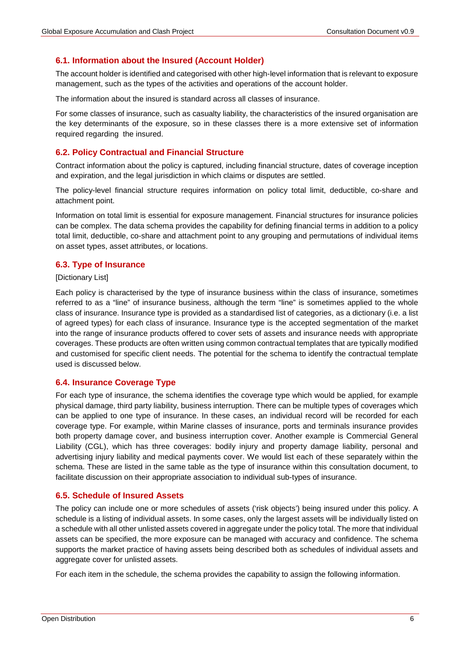### **6.1. Information about the Insured (Account Holder)**

The account holder is identified and categorised with other high-level information that is relevant to exposure management, such as the types of the activities and operations of the account holder.

The information about the insured is standard across all classes of insurance.

For some classes of insurance, such as casualty liability, the characteristics of the insured organisation are the key determinants of the exposure, so in these classes there is a more extensive set of information required regarding the insured.

#### **6.2. Policy Contractual and Financial Structure**

Contract information about the policy is captured, including financial structure, dates of coverage inception and expiration, and the legal jurisdiction in which claims or disputes are settled.

The policy-level financial structure requires information on policy total limit, deductible, co-share and attachment point.

Information on total limit is essential for exposure management. Financial structures for insurance policies can be complex. The data schema provides the capability for defining financial terms in addition to a policy total limit, deductible, co-share and attachment point to any grouping and permutations of individual items on asset types, asset attributes, or locations.

#### **6.3. Type of Insurance**

#### [Dictionary List]

Each policy is characterised by the type of insurance business within the class of insurance, sometimes referred to as a "line" of insurance business, although the term "line" is sometimes applied to the whole class of insurance. Insurance type is provided as a standardised list of categories, as a dictionary (i.e. a list of agreed types) for each class of insurance. Insurance type is the accepted segmentation of the market into the range of insurance products offered to cover sets of assets and insurance needs with appropriate coverages. These products are often written using common contractual templates that are typically modified and customised for specific client needs. The potential for the schema to identify the contractual template used is discussed below.

#### **6.4. Insurance Coverage Type**

For each type of insurance, the schema identifies the coverage type which would be applied, for example physical damage, third party liability, business interruption. There can be multiple types of coverages which can be applied to one type of insurance. In these cases, an individual record will be recorded for each coverage type. For example, within Marine classes of insurance, ports and terminals insurance provides both property damage cover, and business interruption cover. Another example is Commercial General Liability (CGL), which has three coverages: bodily injury and property damage liability, personal and advertising injury liability and medical payments cover. We would list each of these separately within the schema. These are listed in the same table as the type of insurance within this consultation document, to facilitate discussion on their appropriate association to individual sub-types of insurance.

#### **6.5. Schedule of Insured Assets**

The policy can include one or more schedules of assets ('risk objects') being insured under this policy. A schedule is a listing of individual assets. In some cases, only the largest assets will be individually listed on a schedule with all other unlisted assets covered in aggregate under the policy total. The more that individual assets can be specified, the more exposure can be managed with accuracy and confidence. The schema supports the market practice of having assets being described both as schedules of individual assets and aggregate cover for unlisted assets.

For each item in the schedule, the schema provides the capability to assign the following information.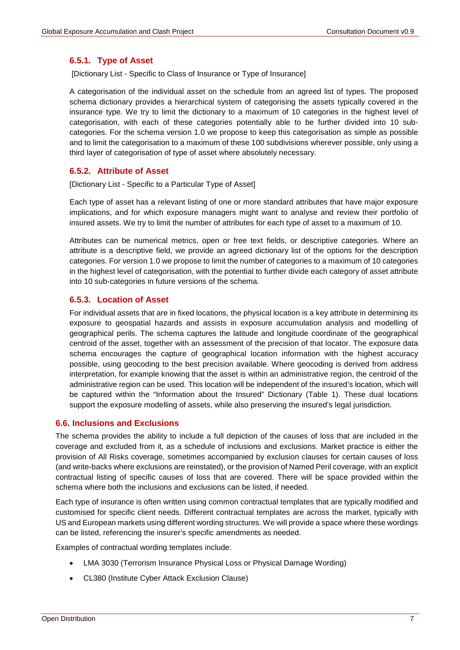#### **6.5.1. Type of Asset**

[Dictionary List - Specific to Class of Insurance or Type of Insurance]

A categorisation of the individual asset on the schedule from an agreed list of types. The proposed schema dictionary provides a hierarchical system of categorising the assets typically covered in the insurance type. We try to limit the dictionary to a maximum of 10 categories in the highest level of categorisation, with each of these categories potentially able to be further divided into 10 subcategories. For the schema version 1.0 we propose to keep this categorisation as simple as possible and to limit the categorisation to a maximum of these 100 subdivisions wherever possible, only using a third layer of categorisation of type of asset where absolutely necessary.

### **6.5.2. Attribute of Asset**

[Dictionary List - Specific to a Particular Type of Asset]

Each type of asset has a relevant listing of one or more standard attributes that have major exposure implications, and for which exposure managers might want to analyse and review their portfolio of insured assets. We try to limit the number of attributes for each type of asset to a maximum of 10.

Attributes can be numerical metrics, open or free text fields, or descriptive categories. Where an attribute is a descriptive field, we provide an agreed dictionary list of the options for the description categories. For version 1.0 we propose to limit the number of categories to a maximum of 10 categories in the highest level of categorisation, with the potential to further divide each category of asset attribute into 10 sub-categories in future versions of the schema.

### **6.5.3. Location of Asset**

For individual assets that are in fixed locations, the physical location is a key attribute in determining its exposure to geospatial hazards and assists in exposure accumulation analysis and modelling of geographical perils. The schema captures the latitude and longitude coordinate of the geographical centroid of the asset, together with an assessment of the precision of that locator. The exposure data schema encourages the capture of geographical location information with the highest accuracy possible, using geocoding to the best precision available. Where geocoding is derived from address interpretation, for example knowing that the asset is within an administrative region, the centroid of the administrative region can be used. This location will be independent of the insured's location, which will be captured within the "Information about the Insured" Dictionary (Table 1). These dual locations support the exposure modelling of assets, while also preserving the insured's legal jurisdiction.

#### **6.6. Inclusions and Exclusions**

The schema provides the ability to include a full depiction of the causes of loss that are included in the coverage and excluded from it, as a schedule of inclusions and exclusions. Market practice is either the provision of All Risks coverage, sometimes accompanied by exclusion clauses for certain causes of loss (and write-backs where exclusions are reinstated), or the provision of Named Peril coverage, with an explicit contractual listing of specific causes of loss that are covered. There will be space provided within the schema where both the inclusions and exclusions can be listed, if needed.

Each type of insurance is often written using common contractual templates that are typically modified and customised for specific client needs. Different contractual templates are across the market, typically with US and European markets using different wording structures. We will provide a space where these wordings can be listed, referencing the insurer's specific amendments as needed.

Examples of contractual wording templates include:

- LMA 3030 (Terrorism Insurance Physical Loss or Physical Damage Wording)
- CL380 (Institute Cyber Attack Exclusion Clause)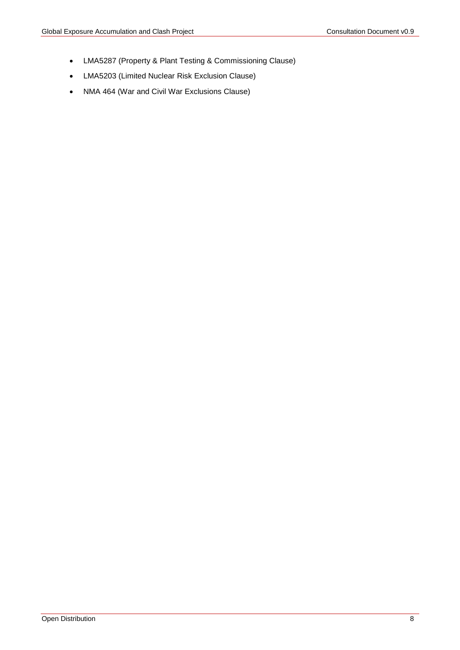- LMA5287 (Property & Plant Testing & Commissioning Clause)
- LMA5203 (Limited Nuclear Risk Exclusion Clause)
- NMA 464 (War and Civil War Exclusions Clause)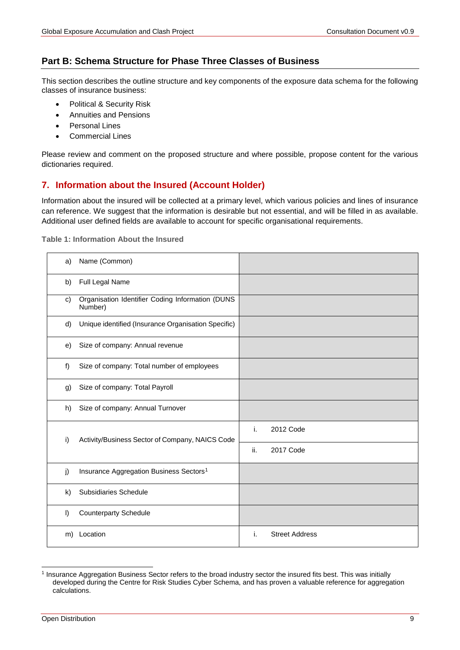# **Part B: Schema Structure for Phase Three Classes of Business**

This section describes the outline structure and key components of the exposure data schema for the following classes of insurance business:

- Political & Security Risk
- Annuities and Pensions
- Personal Lines
- Commercial Lines

Please review and comment on the proposed structure and where possible, propose content for the various dictionaries required.

# <span id="page-8-0"></span>**7. Information about the Insured (Account Holder)**

Information about the insured will be collected at a primary level, which various policies and lines of insurance can reference. We suggest that the information is desirable but not essential, and will be filled in as available. Additional user defined fields are available to account for specific organisational requirements.

<span id="page-8-3"></span>**Table 1: Information About the Insured**

<span id="page-8-1"></span>

| a)      | Name (Common)                                               |     |                       |
|---------|-------------------------------------------------------------|-----|-----------------------|
| b)      | Full Legal Name                                             |     |                       |
| C)      | Organisation Identifier Coding Information (DUNS<br>Number) |     |                       |
| d)      | Unique identified (Insurance Organisation Specific)         |     |                       |
| e)      | Size of company: Annual revenue                             |     |                       |
| f)      | Size of company: Total number of employees                  |     |                       |
| g)      | Size of company: Total Payroll                              |     |                       |
| h)      | Size of company: Annual Turnover                            |     |                       |
| i)      | Activity/Business Sector of Company, NAICS Code             | i.  | 2012 Code             |
|         |                                                             | ii. | 2017 Code             |
| j)      | Insurance Aggregation Business Sectors <sup>1</sup>         |     |                       |
| k)      | Subsidiaries Schedule                                       |     |                       |
| $\vert$ | <b>Counterparty Schedule</b>                                |     |                       |
| m)      | Location                                                    | i.  | <b>Street Address</b> |

<span id="page-8-2"></span> <sup>1</sup> Insurance Aggregation Business Sector refers to the broad industry sector the insured fits best. This was initially developed during the Centre for Risk Studies Cyber Schema, and has proven a valuable reference for aggregation calculations.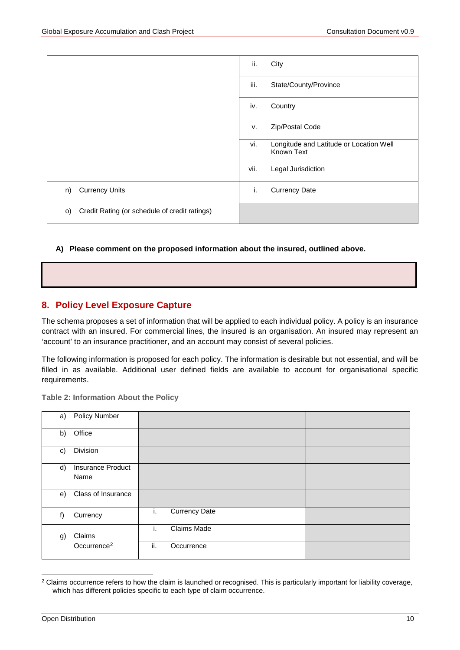|                                                      | ii.<br>City                                                  |
|------------------------------------------------------|--------------------------------------------------------------|
|                                                      | iii.<br>State/County/Province                                |
|                                                      | iv.<br>Country                                               |
|                                                      | Zip/Postal Code<br>v.                                        |
|                                                      | vi.<br>Longitude and Latitude or Location Well<br>Known Text |
|                                                      | vii.<br>Legal Jurisdiction                                   |
| <b>Currency Units</b><br>n)                          | i.<br><b>Currency Date</b>                                   |
| Credit Rating (or schedule of credit ratings)<br>O() |                                                              |

#### **A) Please comment on the proposed information about the insured, outlined above.**

# <span id="page-9-0"></span>**8. Policy Level Exposure Capture**

The schema proposes a set of information that will be applied to each individual policy. A policy is an insurance contract with an insured. For commercial lines, the insured is an organisation. An insured may represent an 'account' to an insurance practitioner, and an account may consist of several policies.

The following information is proposed for each policy. The information is desirable but not essential, and will be filled in as available. Additional user defined fields are available to account for organisational specific requirements.

**Table 2: Information About the Policy** 

| a) | <b>Policy Number</b>     |                            |  |
|----|--------------------------|----------------------------|--|
| b) | Office                   |                            |  |
| c) | Division                 |                            |  |
| d) | <b>Insurance Product</b> |                            |  |
|    | Name                     |                            |  |
| e) | Class of Insurance       |                            |  |
| f) | Currency                 | <b>Currency Date</b><br>i. |  |
| g) | Claims                   | Claims Made<br>Τ.          |  |
|    | Occurrence <sup>2</sup>  | ii.<br>Occurrence          |  |

<span id="page-9-1"></span><sup>&</sup>lt;sup>2</sup> Claims occurrence refers to how the claim is launched or recognised. This is particularly important for liability coverage, which has different policies specific to each type of claim occurrence.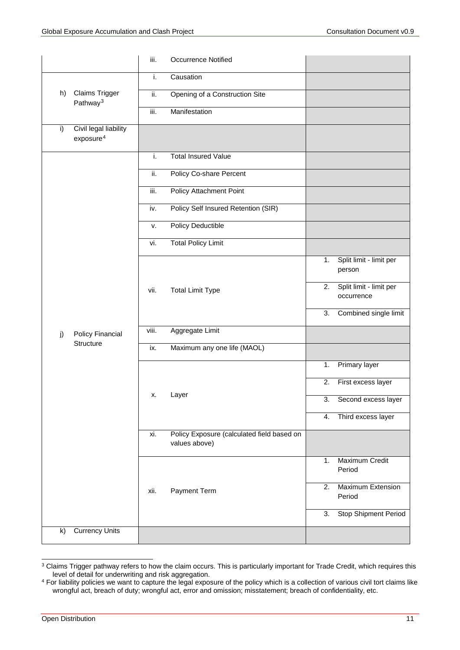|              |                                                | iii.  | <b>Occurrence Notified</b>                                  |    |                                       |
|--------------|------------------------------------------------|-------|-------------------------------------------------------------|----|---------------------------------------|
|              |                                                | i.    | Causation                                                   |    |                                       |
| h)           | Claims Trigger<br>Pathway <sup>3</sup>         | ii.   | Opening of a Construction Site                              |    |                                       |
|              |                                                | iii.  | Manifestation                                               |    |                                       |
| i)           | Civil legal liability<br>exposure <sup>4</sup> |       |                                                             |    |                                       |
|              |                                                | i.    | <b>Total Insured Value</b>                                  |    |                                       |
|              |                                                | ii.   | Policy Co-share Percent                                     |    |                                       |
|              |                                                | iii.  | Policy Attachment Point                                     |    |                                       |
|              |                                                | iv.   | Policy Self Insured Retention (SIR)                         |    |                                       |
|              |                                                | v.    | Policy Deductible                                           |    |                                       |
|              |                                                | vi.   | <b>Total Policy Limit</b>                                   |    |                                       |
|              |                                                | vii.  |                                                             | 1. | Split limit - limit per<br>person     |
|              |                                                |       | <b>Total Limit Type</b>                                     | 2. | Split limit - limit per<br>occurrence |
|              |                                                |       |                                                             | 3. | Combined single limit                 |
| j)           | Policy Financial                               | viii. | Aggregate Limit                                             |    |                                       |
|              | Structure                                      | ix.   | Maximum any one life (MAOL)                                 |    |                                       |
|              |                                                |       |                                                             | 1. | Primary layer                         |
|              |                                                | х.    | Layer                                                       | 2. | First excess layer                    |
|              |                                                |       |                                                             | 3. | Second excess laver                   |
|              |                                                |       |                                                             | 4. | Third excess layer                    |
|              |                                                | xi.   | Policy Exposure (calculated field based on<br>values above) |    |                                       |
|              |                                                |       |                                                             | 1. | Maximum Credit<br>Period              |
|              |                                                | xii.  | Payment Term                                                | 2. | <b>Maximum Extension</b><br>Period    |
|              |                                                |       |                                                             | 3. | <b>Stop Shipment Period</b>           |
| $\mathsf{k}$ | <b>Currency Units</b>                          |       |                                                             |    |                                       |

<sup>&</sup>lt;sup>3</sup> Claims Trigger pathway refers to how the claim occurs. This is particularly important for Trade Credit, which requires this level of detail for underwriting and risk aggregation.

<sup>&</sup>lt;sup>4</sup> For liability policies we want to capture the legal exposure of the policy which is a collection of various civil tort claims like wrongful act, breach of duty; wrongful act, error and omission; misstatement; breach of confidentiality, etc.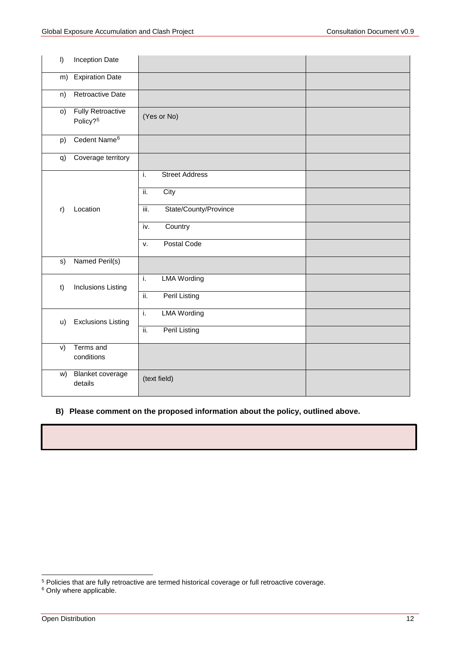| $\vert$ | Inception Date                                   |                               |  |
|---------|--------------------------------------------------|-------------------------------|--|
| m)      | <b>Expiration Date</b>                           |                               |  |
| n)      | <b>Retroactive Date</b>                          |                               |  |
| O)      | <b>Fully Retroactive</b><br>Policy? <sup>5</sup> | (Yes or No)                   |  |
| p)      | Cedent Name <sup>6</sup>                         |                               |  |
| q)      | Coverage territory                               |                               |  |
|         |                                                  | <b>Street Address</b><br>ï.   |  |
|         | Location                                         | City<br>ii.                   |  |
| r)      |                                                  | State/County/Province<br>iii. |  |
|         |                                                  | Country<br>iv.                |  |
|         |                                                  | Postal Code<br>v.             |  |
| s)      | Named Peril(s)                                   |                               |  |
| t)      | <b>Inclusions Listing</b>                        | <b>LMA Wording</b><br>i.      |  |
|         |                                                  | <b>Peril Listing</b><br>ii.   |  |
| u)      | <b>Exclusions Listing</b>                        | <b>LMA Wording</b><br>i.      |  |
|         |                                                  | <b>Peril Listing</b><br>ii.   |  |
| V)      | Terms and<br>conditions                          |                               |  |
| W)      | <b>Blanket coverage</b><br>details               | (text field)                  |  |

### **B) Please comment on the proposed information about the policy, outlined above.**

<sup>6</sup> Only where applicable.

 <sup>5</sup> Policies that are fully retroactive are termed historical coverage or full retroactive coverage.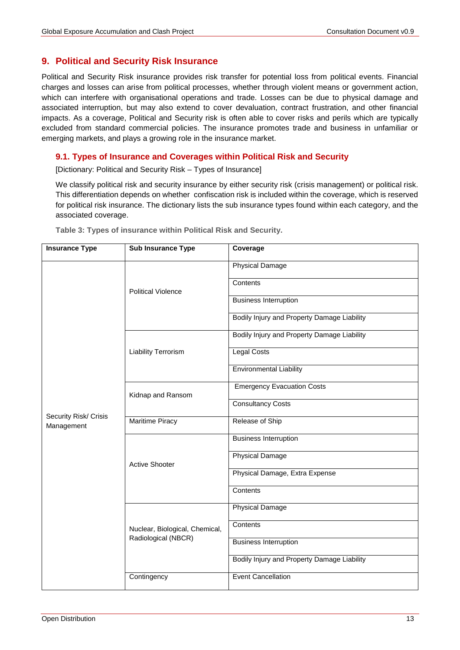# <span id="page-12-0"></span>**9. Political and Security Risk Insurance**

Political and Security Risk insurance provides risk transfer for potential loss from political events. Financial charges and losses can arise from political processes, whether through violent means or government action, which can interfere with organisational operations and trade. Losses can be due to physical damage and associated interruption, but may also extend to cover devaluation, contract frustration, and other financial impacts. As a coverage, Political and Security risk is often able to cover risks and perils which are typically excluded from standard commercial policies. The insurance promotes trade and business in unfamiliar or emerging markets, and plays a growing role in the insurance market.

# **9.1. Types of Insurance and Coverages within Political Risk and Security**

[Dictionary: Political and Security Risk – Types of Insurance]

We classify political risk and security insurance by either security risk (crisis management) or political risk. This differentiation depends on whether confiscation risk is included within the coverage, which is reserved for political risk insurance. The dictionary lists the sub insurance types found within each category, and the associated coverage.

| <b>Insurance Type</b>               | <b>Sub Insurance Type</b>                             | Coverage                                    |
|-------------------------------------|-------------------------------------------------------|---------------------------------------------|
|                                     | <b>Political Violence</b>                             | <b>Physical Damage</b>                      |
|                                     |                                                       | Contents                                    |
|                                     |                                                       | <b>Business Interruption</b>                |
|                                     |                                                       | Bodily Injury and Property Damage Liability |
|                                     |                                                       | Bodily Injury and Property Damage Liability |
|                                     | <b>Liability Terrorism</b>                            | <b>Legal Costs</b>                          |
|                                     |                                                       | <b>Environmental Liability</b>              |
|                                     | Kidnap and Ransom                                     | <b>Emergency Evacuation Costs</b>           |
|                                     |                                                       | <b>Consultancy Costs</b>                    |
| Security Risk/ Crisis<br>Management | <b>Maritime Piracy</b>                                | Release of Ship                             |
|                                     | <b>Active Shooter</b>                                 | <b>Business Interruption</b>                |
|                                     |                                                       | <b>Physical Damage</b>                      |
|                                     |                                                       | Physical Damage, Extra Expense              |
|                                     |                                                       | Contents                                    |
|                                     | Nuclear, Biological, Chemical,<br>Radiological (NBCR) | <b>Physical Damage</b>                      |
|                                     |                                                       | Contents                                    |
|                                     |                                                       | <b>Business Interruption</b>                |
|                                     |                                                       | Bodily Injury and Property Damage Liability |
|                                     | Contingency                                           | <b>Event Cancellation</b>                   |

**Table 3: Types of insurance within Political Risk and Security.**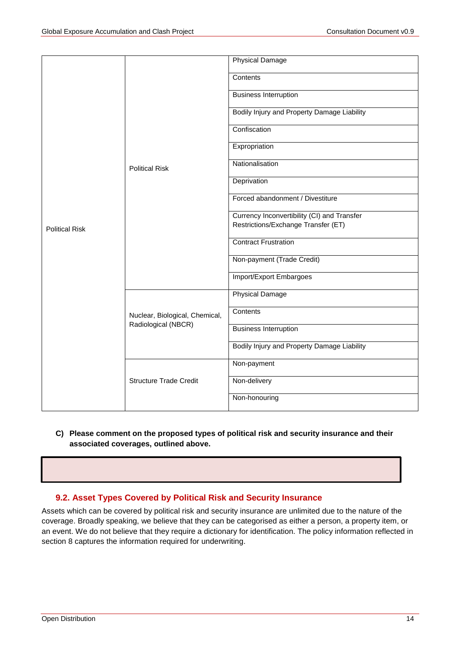|                       |                                | <b>Physical Damage</b>                      |
|-----------------------|--------------------------------|---------------------------------------------|
|                       | <b>Political Risk</b>          | Contents                                    |
|                       |                                | <b>Business Interruption</b>                |
|                       |                                | Bodily Injury and Property Damage Liability |
|                       |                                | Confiscation                                |
|                       |                                | Expropriation                               |
|                       |                                | Nationalisation                             |
|                       |                                | Deprivation                                 |
|                       |                                | Forced abandonment / Divestiture            |
|                       |                                | Currency Inconvertibility (CI) and Transfer |
| <b>Political Risk</b> |                                | Restrictions/Exchange Transfer (ET)         |
|                       |                                | <b>Contract Frustration</b>                 |
|                       |                                | Non-payment (Trade Credit)                  |
|                       |                                | Import/Export Embargoes                     |
|                       | Nuclear, Biological, Chemical, | <b>Physical Damage</b>                      |
|                       |                                | Contents                                    |
|                       | Radiological (NBCR)            | <b>Business Interruption</b>                |
|                       |                                | Bodily Injury and Property Damage Liability |
|                       |                                | Non-payment                                 |
|                       | <b>Structure Trade Credit</b>  | Non-delivery                                |
|                       |                                | Non-honouring                               |
|                       |                                |                                             |

**C) Please comment on the proposed types of political risk and security insurance and their associated coverages, outlined above.**

# **9.2. Asset Types Covered by Political Risk and Security Insurance**

Assets which can be covered by political risk and security insurance are unlimited due to the nature of the coverage. Broadly speaking, we believe that they can be categorised as either a person, a property item, or an event. We do not believe that they require a dictionary for identification. The policy information reflected in section 8 captures the information required for underwriting.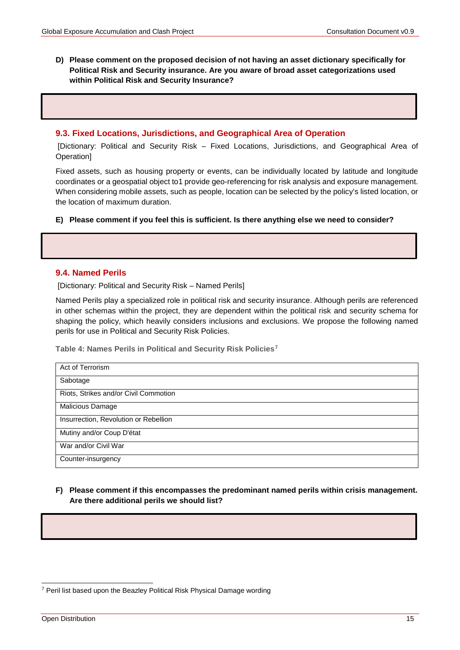**D) Please comment on the proposed decision of not having an asset dictionary specifically for Political Risk and Security insurance. Are you aware of broad asset categorizations used within Political Risk and Security Insurance?** 

#### **9.3. Fixed Locations, Jurisdictions, and Geographical Area of Operation**

[Dictionary: Political and Security Risk – Fixed Locations, Jurisdictions, and Geographical Area of Operation]

Fixed assets, such as housing property or events, can be individually located by latitude and longitude coordinates or a geospatial object to1 provide geo-referencing for risk analysis and exposure management. When considering mobile assets, such as people, location can be selected by the policy's listed location, or the location of maximum duration.

#### **E) Please comment if you feel this is sufficient. Is there anything else we need to consider?**

#### **9.4. Named Perils**

[Dictionary: Political and Security Risk – Named Perils]

Named Perils play a specialized role in political risk and security insurance. Although perils are referenced in other schemas within the project, they are dependent within the political risk and security schema for shaping the policy, which heavily considers inclusions and exclusions. We propose the following named perils for use in Political and Security Risk Policies.

**Table 4: Names Perils in Political and Security Risk Policies7**

| Act of Terrorism                      |  |  |  |
|---------------------------------------|--|--|--|
| Sabotage                              |  |  |  |
| Riots, Strikes and/or Civil Commotion |  |  |  |
| Malicious Damage                      |  |  |  |
| Insurrection, Revolution or Rebellion |  |  |  |
| Mutiny and/or Coup D'état             |  |  |  |
| War and/or Civil War                  |  |  |  |
| Counter-insurgency                    |  |  |  |

**F) Please comment if this encompasses the predominant named perils within crisis management. Are there additional perils we should list?** 

 <sup>7</sup> Peril list based upon the Beazley Political Risk Physical Damage wording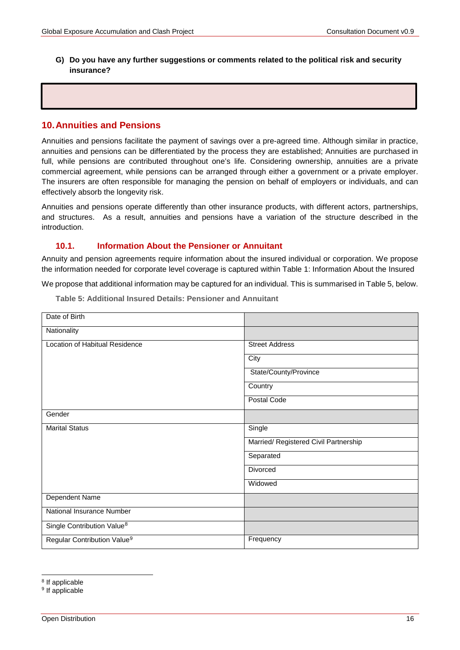**G) Do you have any further suggestions or comments related to the political risk and security insurance?**

### <span id="page-15-0"></span>**10.Annuities and Pensions**

Annuities and pensions facilitate the payment of savings over a pre-agreed time. Although similar in practice, annuities and pensions can be differentiated by the process they are established; Annuities are purchased in full, while pensions are contributed throughout one's life. Considering ownership, annuities are a private commercial agreement, while pensions can be arranged through either a government or a private employer. The insurers are often responsible for managing the pension on behalf of employers or individuals, and can effectively absorb the longevity risk.

Annuities and pensions operate differently than other insurance products, with different actors, partnerships, and structures. As a result, annuities and pensions have a variation of the structure described in the introduction.

### **10.1. Information About the Pensioner or Annuitant**

Annuity and pension agreements require information about the insured individual or corporation. We propose the information needed for corporate level coverage is captured within [Table 1: Information About the Insured](#page-8-3)

<span id="page-15-1"></span>We propose that additional information may be captured for an individual. This is summarised i[n Table 5](#page-15-1), below.

| Date of Birth                           |                                       |
|-----------------------------------------|---------------------------------------|
| Nationality                             |                                       |
| Location of Habitual Residence          | <b>Street Address</b>                 |
|                                         | City                                  |
|                                         | State/County/Province                 |
|                                         | Country                               |
|                                         | Postal Code                           |
| Gender                                  |                                       |
| <b>Marital Status</b>                   | Single                                |
|                                         | Married/ Registered Civil Partnership |
|                                         | Separated                             |
|                                         | Divorced                              |
|                                         | Widowed                               |
| Dependent Name                          |                                       |
| National Insurance Number               |                                       |
| Single Contribution Value <sup>8</sup>  |                                       |
| Regular Contribution Value <sup>9</sup> | Frequency                             |

**Table 5: Additional Insured Details: Pensioner and Annuitant** 

<span id="page-15-2"></span> <sup>8</sup> If applicable

<span id="page-15-3"></span><sup>&</sup>lt;sup>9</sup> If applicable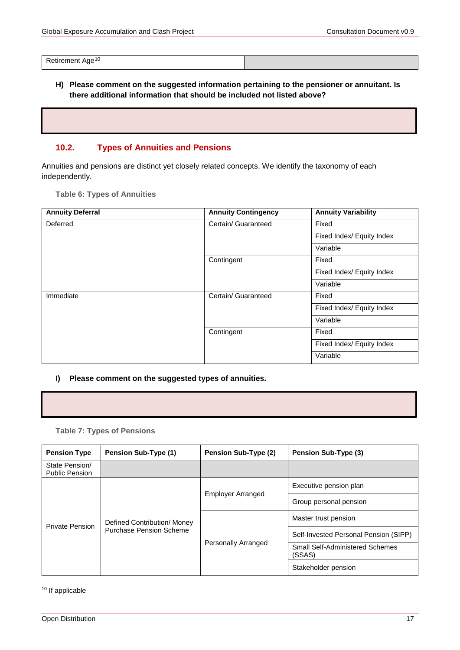Retirement Age<sup>[10](#page-16-0)</sup>

**H) Please comment on the suggested information pertaining to the pensioner or annuitant. Is there additional information that should be included not listed above?** 

### **10.2. Types of Annuities and Pensions**

Annuities and pensions are distinct yet closely related concepts. We identify the taxonomy of each independently.

**Table 6: Types of Annuities**

| <b>Annuity Deferral</b> | <b>Annuity Contingency</b> | <b>Annuity Variability</b> |
|-------------------------|----------------------------|----------------------------|
| Deferred                | Certain/ Guaranteed        | Fixed                      |
|                         |                            | Fixed Index/ Equity Index  |
|                         |                            | Variable                   |
|                         | Contingent                 | Fixed                      |
|                         |                            | Fixed Index/ Equity Index  |
|                         |                            | Variable                   |
| Immediate               | Certain/ Guaranteed        | Fixed                      |
|                         |                            | Fixed Index/ Equity Index  |
|                         |                            | Variable                   |
|                         | Contingent                 | Fixed                      |
|                         |                            | Fixed Index/ Equity Index  |
|                         |                            | Variable                   |

#### **I) Please comment on the suggested types of annuities.**

#### **Table 7: Types of Pensions**

| <b>Pension Type</b>                     | <b>Pension Sub-Type (1)</b>                                                        | Pension Sub-Type (2)   | <b>Pension Sub-Type (3)</b>                      |
|-----------------------------------------|------------------------------------------------------------------------------------|------------------------|--------------------------------------------------|
| State Pension/<br><b>Public Pension</b> |                                                                                    |                        |                                                  |
|                                         |                                                                                    |                        | Executive pension plan                           |
|                                         | <b>Employer Arranged</b><br>Defined Contribution/ Money<br>Purchase Pension Scheme | Group personal pension |                                                  |
| <b>Private Pension</b>                  |                                                                                    | Personally Arranged    | Master trust pension                             |
|                                         |                                                                                    |                        | Self-Invested Personal Pension (SIPP)            |
|                                         |                                                                                    |                        | <b>Small Self-Administered Schemes</b><br>(SSAS) |
|                                         |                                                                                    |                        | Stakeholder pension                              |

<span id="page-16-0"></span>10 If applicable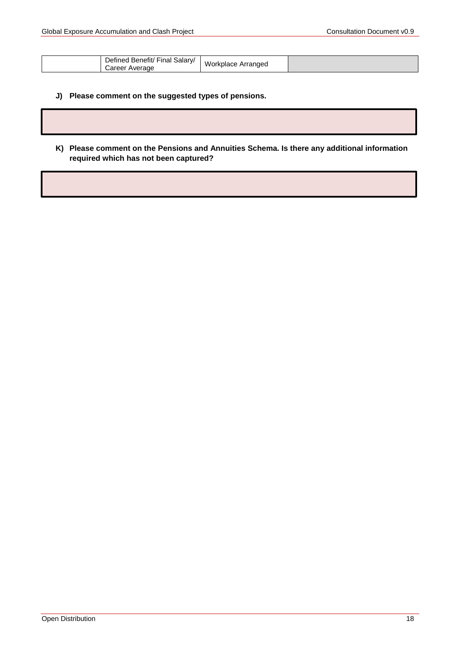| Defined<br>Salary/<br>، Benefit/<br>′ Fınal<br><i>ت</i> areer<br>Average | Workplace Arranged |  |
|--------------------------------------------------------------------------|--------------------|--|
|--------------------------------------------------------------------------|--------------------|--|

### **J) Please comment on the suggested types of pensions.**

**K) Please comment on the Pensions and Annuities Schema. Is there any additional information required which has not been captured?**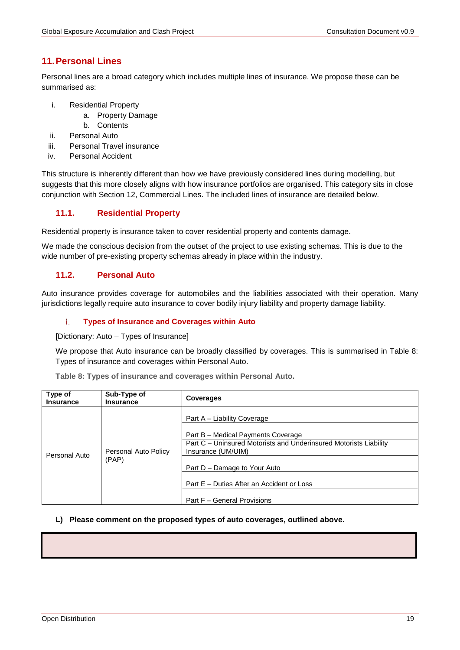# <span id="page-18-0"></span>**11.Personal Lines**

Personal lines are a broad category which includes multiple lines of insurance. We propose these can be summarised as:

- i. Residential Property
	- a. Property Damage
	- b. Contents
- ii. Personal Auto
- iii. Personal Travel insurance
- iv. Personal Accident

This structure is inherently different than how we have previously considered lines during modelling, but suggests that this more closely aligns with how insurance portfolios are organised. This category sits in close conjunction with Section [12, Commercial Lines.](#page-24-0) The included lines of insurance are detailed below.

# **11.1. Residential Property**

Residential property is insurance taken to cover residential property and contents damage.

We made the conscious decision from the outset of the project to use existing schemas. This is due to the wide number of pre-existing property schemas already in place within the industry.

### **11.2. Personal Auto**

Auto insurance provides coverage for automobiles and the liabilities associated with their operation. Many jurisdictions legally require auto insurance to cover bodily injury liability and property damage liability.

#### i. **Types of Insurance and Coverages within Auto**

[Dictionary: Auto – Types of Insurance]

We propose that Auto insurance can be broadly classified by coverages. This is summarised in Table 8: Types of insurance and coverages [within Personal Auto.](#page-18-1)

<span id="page-18-1"></span>

|  |  |  | Table 8: Types of insurance and coverages within Personal Auto. |
|--|--|--|-----------------------------------------------------------------|
|--|--|--|-----------------------------------------------------------------|

| Type of<br><b>Insurance</b> | Sub-Type of<br><b>Insurance</b> | <b>Coverages</b>                                                                        |
|-----------------------------|---------------------------------|-----------------------------------------------------------------------------------------|
|                             |                                 | Part A – Liability Coverage                                                             |
|                             |                                 | Part B - Medical Payments Coverage                                                      |
|                             | Personal Auto Policy            | Part C – Uninsured Motorists and Underinsured Motorists Liability<br>Insurance (UM/UIM) |
| Personal Auto               | (PAP)                           | Part D - Damage to Your Auto                                                            |
|                             |                                 | Part E – Duties After an Accident or Loss                                               |
|                             |                                 | Part F - General Provisions                                                             |

#### **L) Please comment on the proposed types of auto coverages, outlined above.**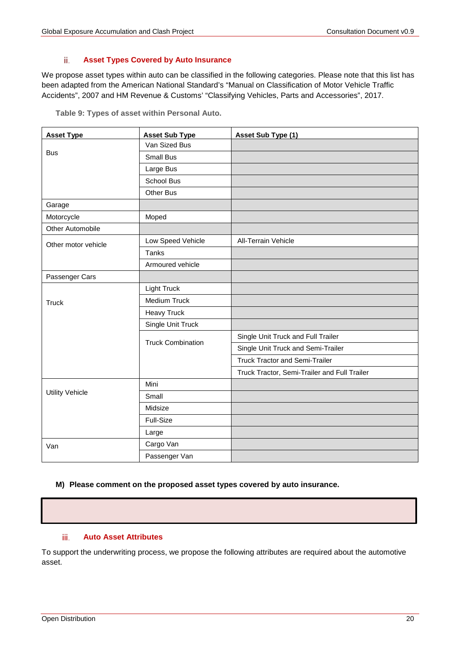#### ii. **Asset Types Covered by Auto Insurance**

We propose asset types within auto can be classified in the following categories. Please note that this list has been adapted from the American National Standard's "Manual on Classification of Motor Vehicle Traffic Accidents", 2007 and HM Revenue & Customs' "Classifying Vehicles, Parts and Accessories", 2017.

|  |  |  | Table 9: Types of asset within Personal Auto. |  |
|--|--|--|-----------------------------------------------|--|
|--|--|--|-----------------------------------------------|--|

| <b>Asset Type</b>      | <b>Asset Sub Type</b>    | Asset Sub Type (1)                           |
|------------------------|--------------------------|----------------------------------------------|
|                        | Van Sized Bus            |                                              |
| <b>Bus</b>             | <b>Small Bus</b>         |                                              |
|                        | Large Bus                |                                              |
|                        | School Bus               |                                              |
|                        | Other Bus                |                                              |
| Garage                 |                          |                                              |
| Motorcycle             | Moped                    |                                              |
| Other Automobile       |                          |                                              |
| Other motor vehicle    | Low Speed Vehicle        | <b>All-Terrain Vehicle</b>                   |
|                        | Tanks                    |                                              |
|                        | Armoured vehicle         |                                              |
| Passenger Cars         |                          |                                              |
|                        | <b>Light Truck</b>       |                                              |
| <b>Truck</b>           | Medium Truck             |                                              |
|                        | <b>Heavy Truck</b>       |                                              |
|                        | Single Unit Truck        |                                              |
|                        | <b>Truck Combination</b> | Single Unit Truck and Full Trailer           |
|                        |                          | Single Unit Truck and Semi-Trailer           |
|                        |                          | <b>Truck Tractor and Semi-Trailer</b>        |
|                        |                          | Truck Tractor, Semi-Trailer and Full Trailer |
|                        | Mini                     |                                              |
| <b>Utility Vehicle</b> | Small                    |                                              |
|                        | Midsize                  |                                              |
|                        | Full-Size                |                                              |
|                        | Large                    |                                              |
| Van                    | Cargo Van                |                                              |
|                        | Passenger Van            |                                              |

#### **M) Please comment on the proposed asset types covered by auto insurance.**

#### iii. **Auto Asset Attributes**

To support the underwriting process, we propose the following attributes are required about the automotive asset.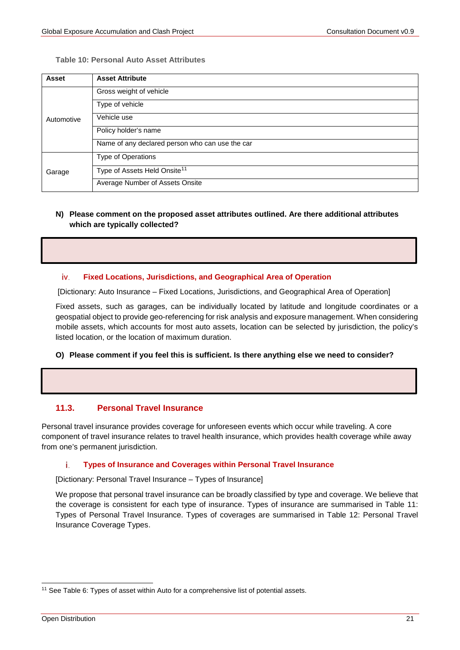#### **Table 10: Personal Auto Asset Attributes**

| Asset      | <b>Asset Attribute</b>                          |
|------------|-------------------------------------------------|
|            | Gross weight of vehicle                         |
| Automotive | Type of vehicle                                 |
|            | Vehicle use                                     |
|            | Policy holder's name                            |
|            | Name of any declared person who can use the car |
|            | Type of Operations                              |
| Garage     | Type of Assets Held Onsite <sup>11</sup>        |
|            | Average Number of Assets Onsite                 |

### **N) Please comment on the proposed asset attributes outlined. Are there additional attributes which are typically collected?**

#### iv. **Fixed Locations, Jurisdictions, and Geographical Area of Operation**

[Dictionary: Auto Insurance – Fixed Locations, Jurisdictions, and Geographical Area of Operation]

Fixed assets, such as garages, can be individually located by latitude and longitude coordinates or a geospatial object to provide geo-referencing for risk analysis and exposure management. When considering mobile assets, which accounts for most auto assets, location can be selected by jurisdiction, the policy's listed location, or the location of maximum duration.

#### **O) Please comment if you feel this is sufficient. Is there anything else we need to consider?**

### **11.3. Personal Travel Insurance**

Personal travel insurance provides coverage for unforeseen events which occur while traveling. A core component of travel insurance relates to travel health insurance, which provides health coverage while away from one's permanent jurisdiction.

#### **Types of Insurance and Coverages within Personal Travel Insurance** j.

[Dictionary: Personal Travel Insurance – Types of Insurance]

We propose that personal travel insurance can be broadly classified by type and coverage. We believe that the coverage is consistent for each type of insurance. Types of insurance are summarised in [Table 11:](#page-21-0)  [Types of Personal Travel](#page-21-0) Insurance. Types of coverages are summarised in [Table 12: Personal Travel](#page-21-1)  [Insurance Coverage Types.](#page-21-1)

<sup>&</sup>lt;sup>11</sup> See Table 6: Types of asset within Auto for a comprehensive list of potential assets.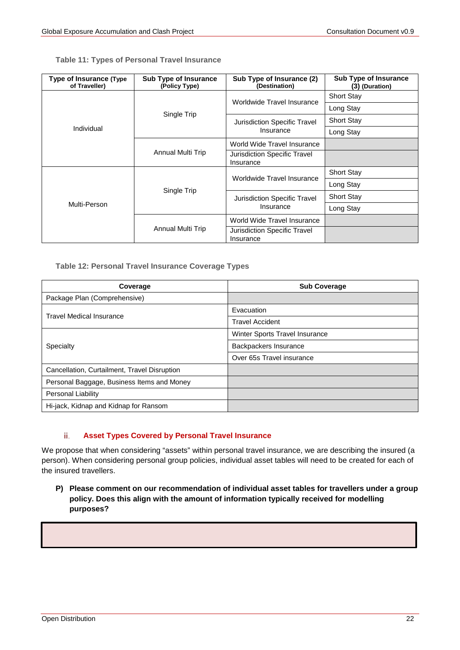<span id="page-21-0"></span>

|  |  |  |  | <b>Table 11: Types of Personal Travel Insurance</b> |
|--|--|--|--|-----------------------------------------------------|
|--|--|--|--|-----------------------------------------------------|

| Type of Insurance (Type<br>of Traveller) | <b>Sub Type of Insurance</b><br>(Policy Type) | Sub Type of Insurance (2)<br>(Destination) | <b>Sub Type of Insurance</b><br>(3) (Duration) |
|------------------------------------------|-----------------------------------------------|--------------------------------------------|------------------------------------------------|
|                                          |                                               | Worldwide Travel Insurance                 | <b>Short Stay</b>                              |
|                                          | Single Trip                                   |                                            | Long Stay                                      |
|                                          |                                               | Jurisdiction Specific Travel               | <b>Short Stay</b>                              |
| Individual                               |                                               | Insurance                                  | Long Stay                                      |
|                                          | Annual Multi Trip                             | World Wide Travel Insurance                |                                                |
|                                          |                                               | Jurisdiction Specific Travel<br>Insurance  |                                                |
|                                          | Single Trip                                   | Worldwide Travel Insurance                 | <b>Short Stay</b>                              |
|                                          |                                               |                                            | Long Stay                                      |
|                                          |                                               | Jurisdiction Specific Travel<br>Insurance  | <b>Short Stay</b>                              |
| Multi-Person                             |                                               |                                            | Long Stay                                      |
|                                          |                                               | World Wide Travel Insurance                |                                                |
|                                          | Annual Multi Trip                             | Jurisdiction Specific Travel<br>Insurance  |                                                |

### <span id="page-21-1"></span>**Table 12: Personal Travel Insurance Coverage Types**

| Coverage                                     | <b>Sub Coverage</b>            |
|----------------------------------------------|--------------------------------|
| Package Plan (Comprehensive)                 |                                |
| <b>Travel Medical Insurance</b>              | Evacuation                     |
|                                              | <b>Travel Accident</b>         |
|                                              | Winter Sports Travel Insurance |
| Specialty                                    | Backpackers Insurance          |
|                                              | Over 65s Travel insurance      |
| Cancellation, Curtailment, Travel Disruption |                                |
| Personal Baggage, Business Items and Money   |                                |
| <b>Personal Liability</b>                    |                                |
| Hi-jack, Kidnap and Kidnap for Ransom        |                                |

#### **Asset Types Covered by Personal Travel Insurance** ii.

We propose that when considering "assets" within personal travel insurance, we are describing the insured (a person). When considering personal group policies, individual asset tables will need to be created for each of the insured travellers.

**P) Please comment on our recommendation of individual asset tables for travellers under a group policy. Does this align with the amount of information typically received for modelling purposes?**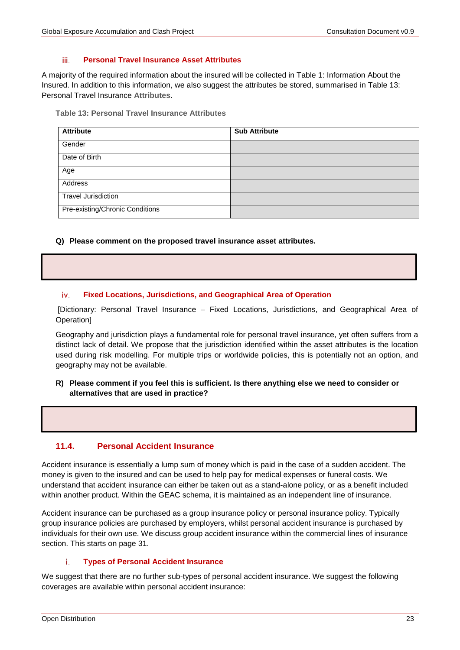#### iii. **Personal Travel Insurance Asset Attributes**

A majority of the required information about the insured will be collected in [Table 1: Information About the](#page-8-3)  [Insured.](#page-8-3) In addition to this information, we also suggest the attributes be stored, summarised in [Table 13:](#page-22-0)  [Personal Travel Insurance](#page-22-0) **Attributes**.

<span id="page-22-0"></span>**Table 13: Personal Travel Insurance Attributes**

| <b>Attribute</b>                | <b>Sub Attribute</b> |
|---------------------------------|----------------------|
| Gender                          |                      |
| Date of Birth                   |                      |
| Age                             |                      |
| Address                         |                      |
| <b>Travel Jurisdiction</b>      |                      |
| Pre-existing/Chronic Conditions |                      |

### **Q) Please comment on the proposed travel insurance asset attributes.**

#### **Fixed Locations, Jurisdictions, and Geographical Area of Operation**  iv.

[Dictionary: Personal Travel Insurance – Fixed Locations, Jurisdictions, and Geographical Area of Operation]

Geography and jurisdiction plays a fundamental role for personal travel insurance, yet often suffers from a distinct lack of detail. We propose that the jurisdiction identified within the asset attributes is the location used during risk modelling. For multiple trips or worldwide policies, this is potentially not an option, and geography may not be available.

### **R) Please comment if you feel this is sufficient. Is there anything else we need to consider or alternatives that are used in practice?**

### **11.4. Personal Accident Insurance**

Accident insurance is essentially a lump sum of money which is paid in the case of a sudden accident. The money is given to the insured and can be used to help pay for medical expenses or funeral costs. We understand that accident insurance can either be taken out as a stand-alone policy, or as a benefit included within another product. Within the GEAC schema, it is maintained as an independent line of insurance.

Accident insurance can be purchased as a group insurance policy or personal insurance policy. Typically group insurance policies are purchased by employers, whilst personal accident insurance is purchased by individuals for their own use. We discuss group accident insurance within the commercial lines of insurance section. This starts on page [31.](#page-29-0)

#### i. **Types of Personal Accident Insurance**

We suggest that there are no further sub-types of personal accident insurance. We suggest the following coverages are available within personal accident insurance: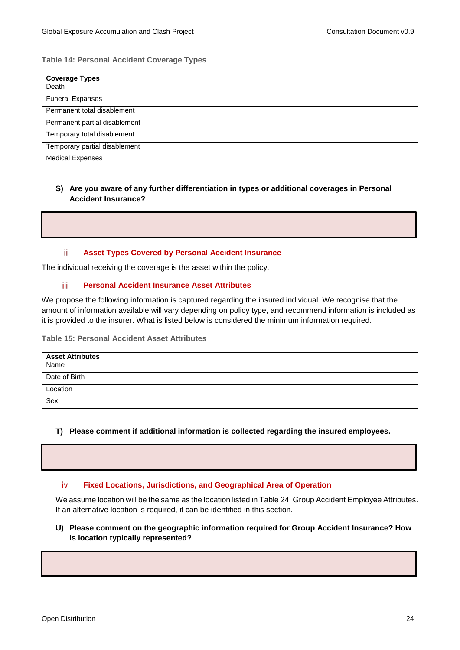#### **Table 14: Personal Accident Coverage Types**

| <b>Coverage Types</b>         |
|-------------------------------|
| Death                         |
| <b>Funeral Expanses</b>       |
| Permanent total disablement   |
| Permanent partial disablement |
| Temporary total disablement   |
| Temporary partial disablement |
| <b>Medical Expenses</b>       |

### **S) Are you aware of any further differentiation in types or additional coverages in Personal Accident Insurance?**

#### ii. **Asset Types Covered by Personal Accident Insurance**

The individual receiving the coverage is the asset within the policy.

#### iii. **Personal Accident Insurance Asset Attributes**

We propose the following information is captured regarding the insured individual. We recognise that the amount of information available will vary depending on policy type, and recommend information is included as it is provided to the insurer. What is listed below is considered the minimum information required.

**Table 15: Personal Accident Asset Attributes**

| <b>Asset Attributes</b> |
|-------------------------|
| Name                    |
| Date of Birth           |
| Location                |
| Sex                     |

#### **T) Please comment if additional information is collected regarding the insured employees.**

#### iv. **Fixed Locations, Jurisdictions, and Geographical Area of Operation**

We assume location will be the same as the location listed in [Table 24: Group Accident Employee Attributes.](#page-30-0) If an alternative location is required, it can be identified in this section.

#### **U) Please comment on the geographic information required for Group Accident Insurance? How is location typically represented?**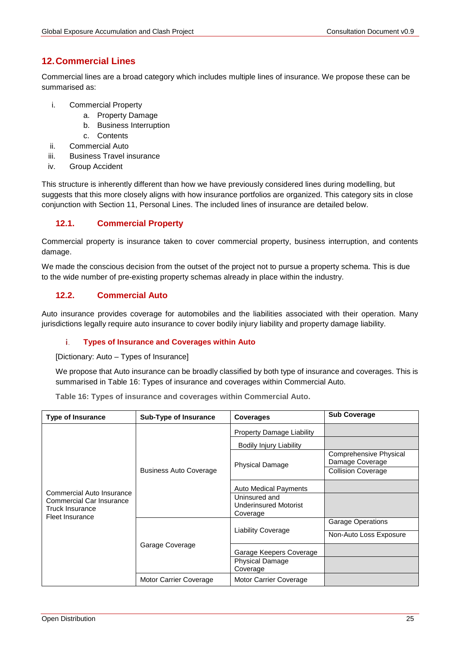# <span id="page-24-0"></span>**12.Commercial Lines**

Commercial lines are a broad category which includes multiple lines of insurance. We propose these can be summarised as:

- i. Commercial Property
	- a. Property Damage
	- b. Business Interruption
	- c. Contents
- ii. Commercial Auto
- iii. Business Travel insurance
- iv. Group Accident

This structure is inherently different than how we have previously considered lines during modelling, but suggests that this more closely aligns with how insurance portfolios are organized. This category sits in close conjunction with Section [11, Personal Lines.](#page-18-0) The included lines of insurance are detailed below.

# **12.1. Commercial Property**

Commercial property is insurance taken to cover commercial property, business interruption, and contents damage.

We made the conscious decision from the outset of the project not to pursue a property schema. This is due to the wide number of pre-existing property schemas already in place within the industry.

### **12.2. Commercial Auto**

Auto insurance provides coverage for automobiles and the liabilities associated with their operation. Many jurisdictions legally require auto insurance to cover bodily injury liability and property damage liability.

#### i. **Types of Insurance and Coverages within Auto**

[Dictionary: Auto – Types of Insurance]

We propose that Auto insurance can be broadly classified by both type of insurance and coverages. This is summarised in [Table 16: Types of insurance](#page-24-1) and coverages within Commercial Auto.

<span id="page-24-1"></span>**Table 16: Types of insurance and coverages within Commercial Auto.**

| <b>Type of Insurance</b>                                                                                       | <b>Sub-Type of Insurance</b>  | <b>Coverages</b>                                          | <b>Sub Coverage</b>                       |
|----------------------------------------------------------------------------------------------------------------|-------------------------------|-----------------------------------------------------------|-------------------------------------------|
|                                                                                                                | <b>Business Auto Coverage</b> | <b>Property Damage Liability</b>                          |                                           |
|                                                                                                                |                               | <b>Bodily Injury Liability</b>                            |                                           |
|                                                                                                                |                               | <b>Physical Damage</b>                                    | Comprehensive Physical<br>Damage Coverage |
| Commercial Auto Insurance<br>Commercial Car Insurance<br>Truck Insurance<br>Fleet Insurance<br>Garage Coverage |                               |                                                           | <b>Collision Coverage</b>                 |
|                                                                                                                |                               | <b>Auto Medical Payments</b>                              |                                           |
|                                                                                                                |                               | Uninsured and<br><b>Underinsured Motorist</b><br>Coverage |                                           |
|                                                                                                                |                               | <b>Liability Coverage</b>                                 | <b>Garage Operations</b>                  |
|                                                                                                                |                               |                                                           | Non-Auto Loss Exposure                    |
|                                                                                                                |                               | Garage Keepers Coverage                                   |                                           |
|                                                                                                                |                               | <b>Physical Damage</b><br>Coverage                        |                                           |
|                                                                                                                | Motor Carrier Coverage        | Motor Carrier Coverage                                    |                                           |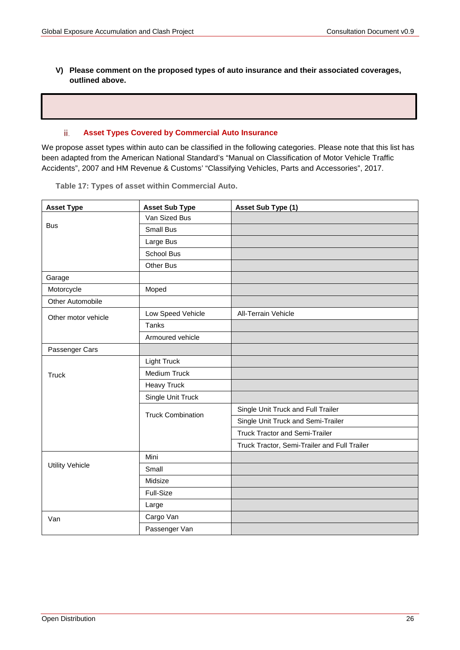**V) Please comment on the proposed types of auto insurance and their associated coverages, outlined above.**

#### **Asset Types Covered by Commercial Auto Insurance** ii.

We propose asset types within auto can be classified in the following categories. Please note that this list has been adapted from the American National Standard's "Manual on Classification of Motor Vehicle Traffic Accidents", 2007 and HM Revenue & Customs' "Classifying Vehicles, Parts and Accessories", 2017.

|  | Table 17: Types of asset within Commercial Auto. |  |
|--|--------------------------------------------------|--|
|--|--------------------------------------------------|--|

| <b>Asset Type</b>      | <b>Asset Sub Type</b>    | Asset Sub Type (1)                           |
|------------------------|--------------------------|----------------------------------------------|
|                        | Van Sized Bus            |                                              |
| <b>Bus</b>             | Small Bus                |                                              |
|                        | Large Bus                |                                              |
|                        | School Bus               |                                              |
|                        | <b>Other Bus</b>         |                                              |
| Garage                 |                          |                                              |
| Motorcycle             | Moped                    |                                              |
| Other Automobile       |                          |                                              |
| Other motor vehicle    | Low Speed Vehicle        | <b>All-Terrain Vehicle</b>                   |
|                        | <b>Tanks</b>             |                                              |
|                        | Armoured vehicle         |                                              |
| Passenger Cars         |                          |                                              |
|                        | <b>Light Truck</b>       |                                              |
| Truck                  | Medium Truck             |                                              |
|                        | <b>Heavy Truck</b>       |                                              |
|                        | Single Unit Truck        |                                              |
|                        | <b>Truck Combination</b> | Single Unit Truck and Full Trailer           |
|                        |                          | Single Unit Truck and Semi-Trailer           |
|                        |                          | <b>Truck Tractor and Semi-Trailer</b>        |
|                        |                          | Truck Tractor, Semi-Trailer and Full Trailer |
|                        | Mini                     |                                              |
| <b>Utility Vehicle</b> | Small                    |                                              |
|                        | Midsize                  |                                              |
|                        | Full-Size                |                                              |
|                        | Large                    |                                              |
| Van                    | Cargo Van                |                                              |
|                        | Passenger Van            |                                              |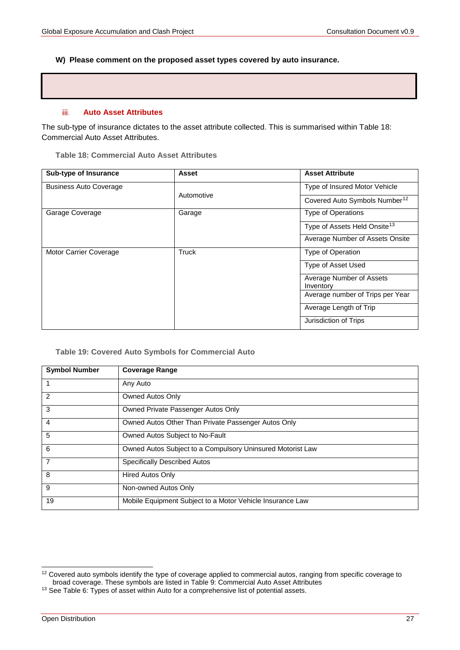#### **W) Please comment on the proposed asset types covered by auto insurance.**

#### iii. **Auto Asset Attributes**

The sub-type of insurance dictates to the asset attribute collected. This is summarised within [Table 18:](#page-26-0)  Commercial [Auto Asset Attributes.](#page-26-0)

<span id="page-26-0"></span>**Table 18: Commercial Auto Asset Attributes**

| Sub-type of Insurance         | Asset      | <b>Asset Attribute</b>                    |
|-------------------------------|------------|-------------------------------------------|
| <b>Business Auto Coverage</b> |            | Type of Insured Motor Vehicle             |
|                               | Automotive | Covered Auto Symbols Number <sup>12</sup> |
| Garage Coverage               | Garage     | <b>Type of Operations</b>                 |
|                               |            | Type of Assets Held Onsite <sup>13</sup>  |
|                               |            | Average Number of Assets Onsite           |
| Motor Carrier Coverage        | Truck      | Type of Operation                         |
|                               |            | Type of Asset Used                        |
|                               |            | Average Number of Assets<br>Inventory     |
|                               |            | Average number of Trips per Year          |
|                               |            | Average Length of Trip                    |
|                               |            | Jurisdiction of Trips                     |

**Table 19: Covered Auto Symbols for Commercial Auto**

| <b>Symbol Number</b> | <b>Coverage Range</b>                                      |
|----------------------|------------------------------------------------------------|
|                      | Any Auto                                                   |
| $\mathcal{P}$        | Owned Autos Only                                           |
| 3                    | Owned Private Passenger Autos Only                         |
| 4                    | Owned Autos Other Than Private Passenger Autos Only        |
| 5                    | Owned Autos Subject to No-Fault                            |
| 6                    | Owned Autos Subject to a Compulsory Uninsured Motorist Law |
| 7                    | <b>Specifically Described Autos</b>                        |
| 8                    | <b>Hired Autos Only</b>                                    |
| 9                    | Non-owned Autos Only                                       |
| 19                   | Mobile Equipment Subject to a Motor Vehicle Insurance Law  |

<span id="page-26-1"></span> <sup>12</sup> Covered auto symbols identify the type of coverage applied to commercial autos, ranging from specific coverage to broad coverage. These symbols are listed in Table 9: Commercial Auto Asset Attributes

<span id="page-26-2"></span><sup>&</sup>lt;sup>13</sup> See Table 6: Types of asset within Auto for a comprehensive list of potential assets.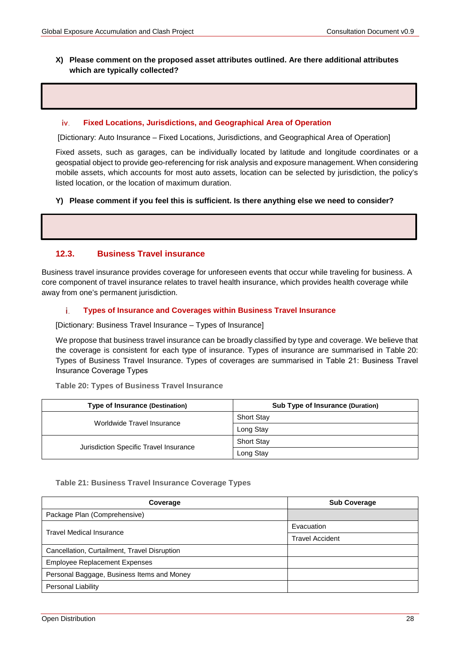### **X) Please comment on the proposed asset attributes outlined. Are there additional attributes which are typically collected?**

#### iv. **Fixed Locations, Jurisdictions, and Geographical Area of Operation**

[Dictionary: Auto Insurance – Fixed Locations, Jurisdictions, and Geographical Area of Operation]

Fixed assets, such as garages, can be individually located by latitude and longitude coordinates or a geospatial object to provide geo-referencing for risk analysis and exposure management. When considering mobile assets, which accounts for most auto assets, location can be selected by jurisdiction, the policy's listed location, or the location of maximum duration.

#### **Y) Please comment if you feel this is sufficient. Is there anything else we need to consider?**

### **12.3. Business Travel insurance**

Business travel insurance provides coverage for unforeseen events that occur while traveling for business. A core component of travel insurance relates to travel health insurance, which provides health coverage while away from one's permanent jurisdiction.

#### **Types of Insurance and Coverages within Business Travel Insurance** i.

[Dictionary: Business Travel Insurance – Types of Insurance]

We propose that business travel insurance can be broadly classified by type and coverage. We believe that the coverage is consistent for each type of insurance. Types of insurance are summarised in [Table 20:](#page-27-0)  [Types of Business Travel Insurance](#page-27-0). Types of coverages are summarised in Table 21: Business Travel Insurance Coverage Types

<span id="page-27-0"></span>**Table 20: Types of Business Travel Insurance**

| <b>Type of Insurance (Destination)</b> | <b>Sub Type of Insurance (Duration)</b> |
|----------------------------------------|-----------------------------------------|
| Worldwide Travel Insurance             | <b>Short Stay</b>                       |
|                                        | Long Stay                               |
| Jurisdiction Specific Travel Insurance | <b>Short Stay</b>                       |
|                                        | Long Stay                               |

#### **Table 21: Business Travel Insurance Coverage Types**

| Coverage                                     | <b>Sub Coverage</b>    |
|----------------------------------------------|------------------------|
| Package Plan (Comprehensive)                 |                        |
|                                              | Evacuation             |
| <b>Travel Medical Insurance</b>              | <b>Travel Accident</b> |
| Cancellation, Curtailment, Travel Disruption |                        |
| <b>Employee Replacement Expenses</b>         |                        |
| Personal Baggage, Business Items and Money   |                        |
| Personal Liability                           |                        |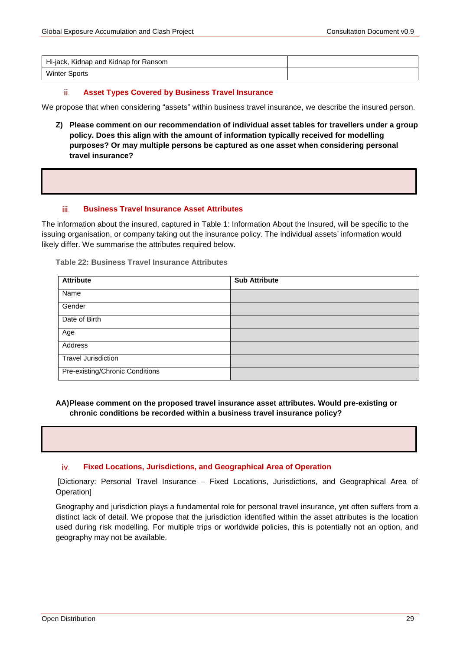| Hi-jack, Kidnap and Kidnap for Ransom |  |
|---------------------------------------|--|
| <b>Winter Sports</b>                  |  |

#### **Asset Types Covered by Business Travel Insurance** ii.

We propose that when considering "assets" within business travel insurance, we describe the insured person.

**Z) Please comment on our recommendation of individual asset tables for travellers under a group policy. Does this align with the amount of information typically received for modelling purposes? Or may multiple persons be captured as one asset when considering personal travel insurance?**

#### **Business Travel Insurance Asset Attributes** iii.

The information about the insured, captured in [Table 1: Information About the Insured,](#page-8-3) will be specific to the issuing organisation, or company taking out the insurance policy. The individual assets' information would likely differ. We summarise the attributes required below.

**Table 22: Business Travel Insurance Attributes**

| <b>Attribute</b>                | <b>Sub Attribute</b> |
|---------------------------------|----------------------|
| Name                            |                      |
| Gender                          |                      |
| Date of Birth                   |                      |
| Age                             |                      |
| Address                         |                      |
| <b>Travel Jurisdiction</b>      |                      |
| Pre-existing/Chronic Conditions |                      |

**AA)Please comment on the proposed travel insurance asset attributes. Would pre-existing or chronic conditions be recorded within a business travel insurance policy?** 

#### **Fixed Locations, Jurisdictions, and Geographical Area of Operation**  iv.

[Dictionary: Personal Travel Insurance – Fixed Locations, Jurisdictions, and Geographical Area of Operation]

Geography and jurisdiction plays a fundamental role for personal travel insurance, yet often suffers from a distinct lack of detail. We propose that the jurisdiction identified within the asset attributes is the location used during risk modelling. For multiple trips or worldwide policies, this is potentially not an option, and geography may not be available.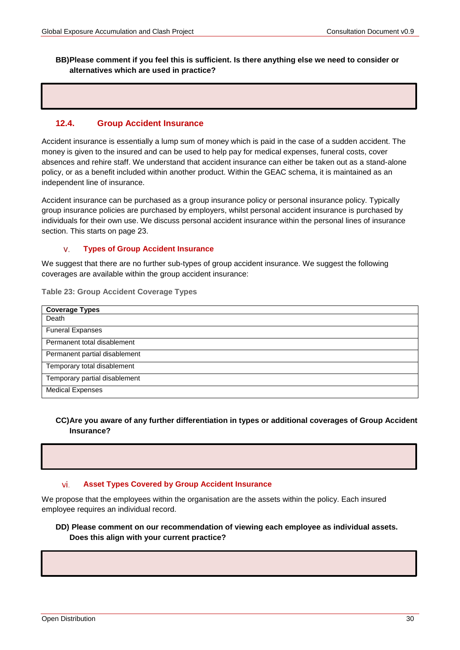#### **BB)Please comment if you feel this is sufficient. Is there anything else we need to consider or alternatives which are used in practice?**

### **12.4. Group Accident Insurance**

Accident insurance is essentially a lump sum of money which is paid in the case of a sudden accident. The money is given to the insured and can be used to help pay for medical expenses, funeral costs, cover absences and rehire staff. We understand that accident insurance can either be taken out as a stand-alone policy, or as a benefit included within another product. Within the GEAC schema, it is maintained as an independent line of insurance.

Accident insurance can be purchased as a group insurance policy or personal insurance policy. Typically group insurance policies are purchased by employers, whilst personal accident insurance is purchased by individuals for their own use. We discuss personal accident insurance within the personal lines of insurance section. This starts on page 23.

#### v. **Types of Group Accident Insurance**

We suggest that there are no further sub-types of group accident insurance. We suggest the following coverages are available within the group accident insurance:

**Table 23: Group Accident Coverage Types**

| <b>Coverage Types</b>         |
|-------------------------------|
| Death                         |
| <b>Funeral Expanses</b>       |
| Permanent total disablement   |
| Permanent partial disablement |
| Temporary total disablement   |
| Temporary partial disablement |
| <b>Medical Expenses</b>       |

#### **CC)Are you aware of any further differentiation in types or additional coverages of Group Accident Insurance?**

#### vi. **Asset Types Covered by Group Accident Insurance**

<span id="page-29-0"></span>We propose that the employees within the organisation are the assets within the policy. Each insured employee requires an individual record.

#### **DD) Please comment on our recommendation of viewing each employee as individual assets. Does this align with your current practice?**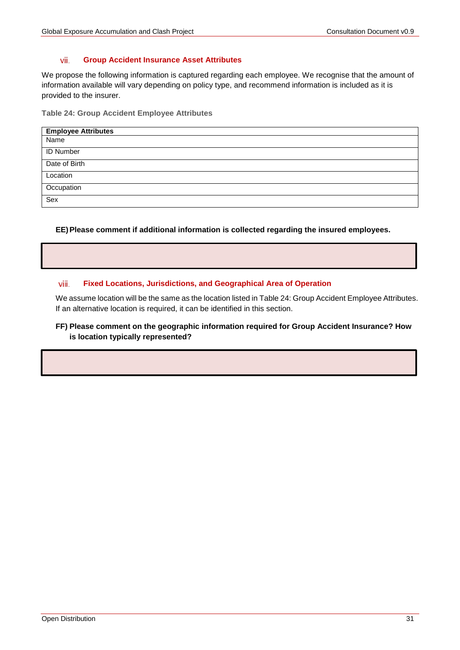#### vii. **Group Accident Insurance Asset Attributes**

We propose the following information is captured regarding each employee. We recognise that the amount of information available will vary depending on policy type, and recommend information is included as it is provided to the insurer.

<span id="page-30-0"></span>**Table 24: Group Accident Employee Attributes**

| <b>Employee Attributes</b> |
|----------------------------|
| Name                       |
| <b>ID Number</b>           |
| Date of Birth              |
| Location                   |
| Occupation                 |
| Sex                        |

**EE)Please comment if additional information is collected regarding the insured employees.**

#### viii. **Fixed Locations, Jurisdictions, and Geographical Area of Operation**

We assume location will be the same as the location listed in [Table 24: Group Accident Employee Attributes.](#page-30-0) If an alternative location is required, it can be identified in this section.

### **FF) Please comment on the geographic information required for Group Accident Insurance? How is location typically represented?**